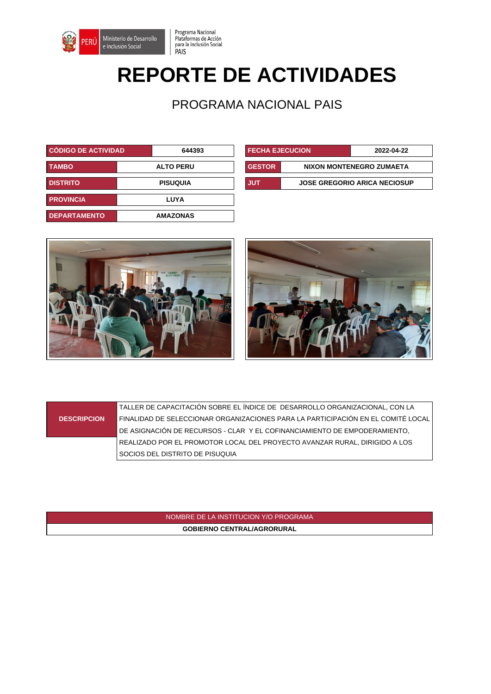

## **REPORTE DE ACTIVIDADES**

Programa Nacional

PAIS

Plataformas de Acción<br>para la Inclusión Social

PROGRAMA NACIONAL PAIS

| <b>CÓDIGO DE ACTIVIDAD.</b> | 644393           | <b>FECHA EJECUCION</b> |  | 2022-04-22                          |
|-----------------------------|------------------|------------------------|--|-------------------------------------|
| <b>TAMBO</b>                | <b>ALTO PERU</b> | <b>GESTOR</b>          |  | NIXON MONTENEGRO ZUMAETA            |
| <b>DISTRITO</b>             | <b>PISUQUIA</b>  | <b>JUT</b>             |  | <b>JOSE GREGORIO ARICA NECIOSUP</b> |
| <b>PROVINCIA</b>            | LUYA             |                        |  |                                     |
| <b>DEPARTAMENTO</b>         | <b>AMAZONAS</b>  |                        |  |                                     |

| <b>FECHA EJECUCION</b>                     |                          | 2022-04-22 |  |
|--------------------------------------------|--------------------------|------------|--|
| <b>GESTOR</b>                              | NIXON MONTENEGRO ZUMAETA |            |  |
| <b>JOSE GREGORIO ARICA NECIOSUP</b><br>JUT |                          |            |  |





## **DESCRIPCION**

TALLER DE CAPACITACIÓN SOBRE EL ÍNDICE DE DESARROLLO ORGANIZACIONAL, CON LA FINALIDAD DE SELECCIONAR ORGANIZACIONES PARA LA PARTICIPACIÓN EN EL COMITÉ LOCAL DE ASIGNACIÓN DE RECURSOS - CLAR Y EL COFINANCIAMIENTO DE EMPODERAMIENTO, REALIZADO POR EL PROMOTOR LOCAL DEL PROYECTO AVANZAR RURAL, DIRIGIDO A LOS SOCIOS DEL DISTRITO DE PISUQUIA

> NOMBRE DE LA INSTITUCION Y/O PROGRAMA **GOBIERNO CENTRAL/AGRORURAL**